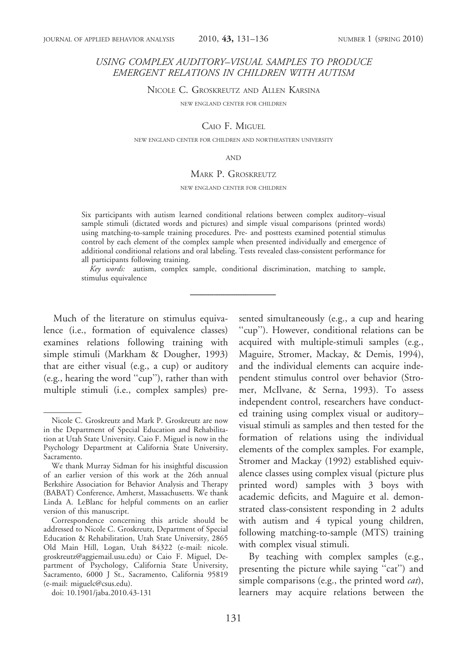# USING COMPLEX AUDITORY–VISUAL SAMPLES TO PRODUCE EMERGENT RELATIONS IN CHILDREN WITH AUTISM

NICOLE C. GROSKREUTZ AND ALLEN KARSINA

NEW ENGLAND CENTER FOR CHILDREN

CAIO F. MIGUEL

NEW ENGLAND CENTER FOR CHILDREN AND NORTHEASTERN UNIVERSITY

AND

#### MARK P. GROSKREUTZ

NEW ENGLAND CENTER FOR CHILDREN

Six participants with autism learned conditional relations between complex auditory–visual sample stimuli (dictated words and pictures) and simple visual comparisons (printed words) using matching-to-sample training procedures. Pre- and posttests examined potential stimulus control by each element of the complex sample when presented individually and emergence of additional conditional relations and oral labeling. Tests revealed class-consistent performance for all participants following training.

Key words: autism, complex sample, conditional discrimination, matching to sample, stimulus equivalence

Much of the literature on stimulus equivalence (i.e., formation of equivalence classes) examines relations following training with simple stimuli (Markham & Dougher, 1993) that are either visual (e.g., a cup) or auditory (e.g., hearing the word ''cup''), rather than with multiple stimuli (i.e., complex samples) presented simultaneously (e.g., a cup and hearing "cup"). However, conditional relations can be acquired with multiple-stimuli samples (e.g., Maguire, Stromer, Mackay, & Demis, 1994), and the individual elements can acquire independent stimulus control over behavior (Stromer, McIlvane, & Serna, 1993). To assess independent control, researchers have conducted training using complex visual or auditory– visual stimuli as samples and then tested for the formation of relations using the individual elements of the complex samples. For example, Stromer and Mackay (1992) established equivalence classes using complex visual (picture plus printed word) samples with 3 boys with academic deficits, and Maguire et al. demonstrated class-consistent responding in 2 adults with autism and 4 typical young children, following matching-to-sample (MTS) training with complex visual stimuli.

By teaching with complex samples (e.g., presenting the picture while saying ''cat'') and simple comparisons (e.g., the printed word  $cat$ ), learners may acquire relations between the

Nicole C. Groskreutz and Mark P. Groskreutz are now in the Department of Special Education and Rehabilitation at Utah State University. Caio F. Miguel is now in the Psychology Department at California State University, Sacramento.

We thank Murray Sidman for his insightful discussion of an earlier version of this work at the 26th annual Berkshire Association for Behavior Analysis and Therapy (BABAT) Conference, Amherst, Massachusetts. We thank Linda A. LeBlanc for helpful comments on an earlier version of this manuscript.

Correspondence concerning this article should be addressed to Nicole C. Groskreutz, Department of Special Education & Rehabilitation, Utah State University, 2865 Old Main Hill, Logan, Utah 84322 (e-mail: nicole. groskreutz@aggiemail.usu.edu) or Caio F. Miguel, Department of Psychology, California State University, Sacramento, 6000 J St., Sacramento, California 95819 (e-mail: miguelc@csus.edu).

doi: 10.1901/jaba.2010.43-131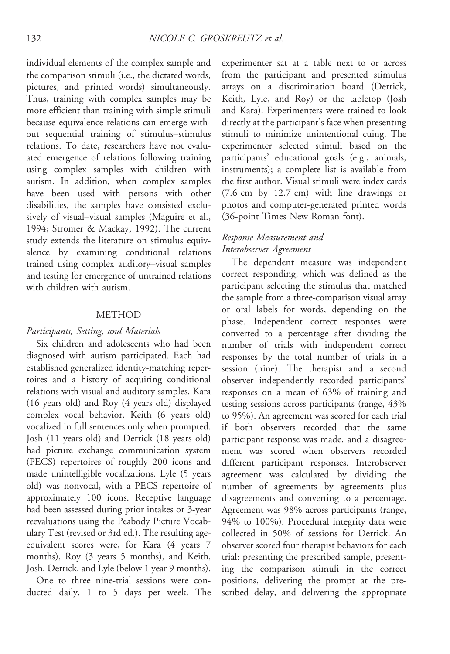individual elements of the complex sample and the comparison stimuli (i.e., the dictated words, pictures, and printed words) simultaneously. Thus, training with complex samples may be more efficient than training with simple stimuli because equivalence relations can emerge without sequential training of stimulus–stimulus relations. To date, researchers have not evaluated emergence of relations following training using complex samples with children with autism. In addition, when complex samples have been used with persons with other disabilities, the samples have consisted exclusively of visual–visual samples (Maguire et al., 1994; Stromer & Mackay, 1992). The current study extends the literature on stimulus equivalence by examining conditional relations trained using complex auditory–visual samples and testing for emergence of untrained relations with children with autism.

# METHOD

### Participants, Setting, and Materials

Six children and adolescents who had been diagnosed with autism participated. Each had established generalized identity-matching repertoires and a history of acquiring conditional relations with visual and auditory samples. Kara (16 years old) and Roy (4 years old) displayed complex vocal behavior. Keith (6 years old) vocalized in full sentences only when prompted. Josh (11 years old) and Derrick (18 years old) had picture exchange communication system (PECS) repertoires of roughly 200 icons and made unintelligible vocalizations. Lyle (5 years old) was nonvocal, with a PECS repertoire of approximately 100 icons. Receptive language had been assessed during prior intakes or 3-year reevaluations using the Peabody Picture Vocabulary Test (revised or 3rd ed.). The resulting ageequivalent scores were, for Kara (4 years 7 months), Roy (3 years 5 months), and Keith, Josh, Derrick, and Lyle (below 1 year 9 months).

One to three nine-trial sessions were conducted daily, 1 to 5 days per week. The experimenter sat at a table next to or across from the participant and presented stimulus arrays on a discrimination board (Derrick, Keith, Lyle, and Roy) or the tabletop (Josh and Kara). Experimenters were trained to look directly at the participant's face when presenting stimuli to minimize unintentional cuing. The experimenter selected stimuli based on the participants' educational goals (e.g., animals, instruments); a complete list is available from the first author. Visual stimuli were index cards (7.6 cm by 12.7 cm) with line drawings or photos and computer-generated printed words (36-point Times New Roman font).

# Response Measurement and Interobserver Agreement

The dependent measure was independent correct responding, which was defined as the participant selecting the stimulus that matched the sample from a three-comparison visual array or oral labels for words, depending on the phase. Independent correct responses were converted to a percentage after dividing the number of trials with independent correct responses by the total number of trials in a session (nine). The therapist and a second observer independently recorded participants' responses on a mean of 63% of training and testing sessions across participants (range, 43% to 95%). An agreement was scored for each trial if both observers recorded that the same participant response was made, and a disagreement was scored when observers recorded different participant responses. Interobserver agreement was calculated by dividing the number of agreements by agreements plus disagreements and converting to a percentage. Agreement was 98% across participants (range, 94% to 100%). Procedural integrity data were collected in 50% of sessions for Derrick. An observer scored four therapist behaviors for each trial: presenting the prescribed sample, presenting the comparison stimuli in the correct positions, delivering the prompt at the prescribed delay, and delivering the appropriate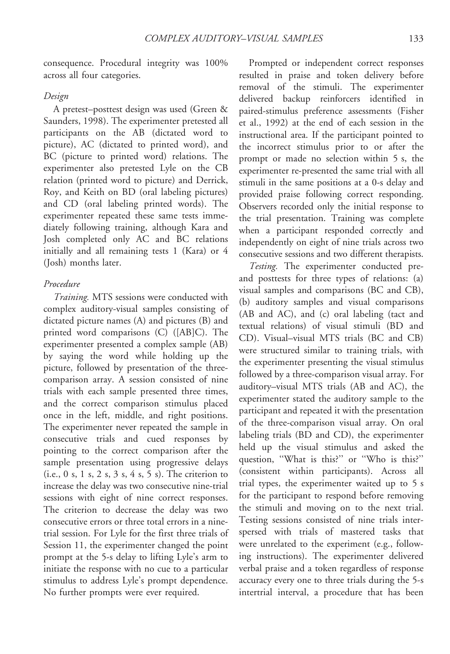consequence. Procedural integrity was 100% across all four categories.

# Design

A pretest–posttest design was used (Green & Saunders, 1998). The experimenter pretested all participants on the AB (dictated word to picture), AC (dictated to printed word), and BC (picture to printed word) relations. The experimenter also pretested Lyle on the CB relation (printed word to picture) and Derrick, Roy, and Keith on BD (oral labeling pictures) and CD (oral labeling printed words). The experimenter repeated these same tests immediately following training, although Kara and Josh completed only AC and BC relations initially and all remaining tests 1 (Kara) or 4 (Josh) months later.

### Procedure

Training. MTS sessions were conducted with complex auditory-visual samples consisting of dictated picture names (A) and pictures (B) and printed word comparisons (C) ([AB]C). The experimenter presented a complex sample (AB) by saying the word while holding up the picture, followed by presentation of the threecomparison array. A session consisted of nine trials with each sample presented three times, and the correct comparison stimulus placed once in the left, middle, and right positions. The experimenter never repeated the sample in consecutive trials and cued responses by pointing to the correct comparison after the sample presentation using progressive delays (i.e., 0 s, 1 s, 2 s, 3 s, 4 s, 5 s). The criterion to increase the delay was two consecutive nine-trial sessions with eight of nine correct responses. The criterion to decrease the delay was two consecutive errors or three total errors in a ninetrial session. For Lyle for the first three trials of Session 11, the experimenter changed the point prompt at the 5-s delay to lifting Lyle's arm to initiate the response with no cue to a particular stimulus to address Lyle's prompt dependence. No further prompts were ever required.

Prompted or independent correct responses resulted in praise and token delivery before removal of the stimuli. The experimenter delivered backup reinforcers identified in paired-stimulus preference assessments (Fisher et al., 1992) at the end of each session in the instructional area. If the participant pointed to the incorrect stimulus prior to or after the prompt or made no selection within 5 s, the experimenter re-presented the same trial with all stimuli in the same positions at a 0-s delay and provided praise following correct responding. Observers recorded only the initial response to the trial presentation. Training was complete when a participant responded correctly and independently on eight of nine trials across two consecutive sessions and two different therapists.

Testing. The experimenter conducted preand posttests for three types of relations: (a) visual samples and comparisons (BC and CB), (b) auditory samples and visual comparisons (AB and AC), and (c) oral labeling (tact and textual relations) of visual stimuli (BD and CD). Visual–visual MTS trials (BC and CB) were structured similar to training trials, with the experimenter presenting the visual stimulus followed by a three-comparison visual array. For auditory–visual MTS trials (AB and AC), the experimenter stated the auditory sample to the participant and repeated it with the presentation of the three-comparison visual array. On oral labeling trials (BD and CD), the experimenter held up the visual stimulus and asked the question, "What is this?" or "Who is this?" (consistent within participants). Across all trial types, the experimenter waited up to 5 s for the participant to respond before removing the stimuli and moving on to the next trial. Testing sessions consisted of nine trials interspersed with trials of mastered tasks that were unrelated to the experiment (e.g., following instructions). The experimenter delivered verbal praise and a token regardless of response accuracy every one to three trials during the 5-s intertrial interval, a procedure that has been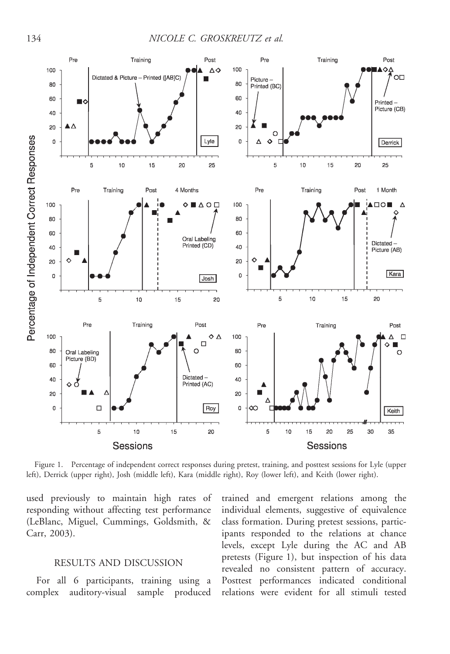

Figure 1. Percentage of independent correct responses during pretest, training, and posttest sessions for Lyle (upper left), Derrick (upper right), Josh (middle left), Kara (middle right), Roy (lower left), and Keith (lower right).

used previously to maintain high rates of responding without affecting test performance (LeBlanc, Miguel, Cummings, Goldsmith, & Carr, 2003).

# RESULTS AND DISCUSSION

For all 6 participants, training using a complex auditory-visual sample produced trained and emergent relations among the individual elements, suggestive of equivalence class formation. During pretest sessions, participants responded to the relations at chance levels, except Lyle during the AC and AB pretests (Figure 1), but inspection of his data revealed no consistent pattern of accuracy. Posttest performances indicated conditional relations were evident for all stimuli tested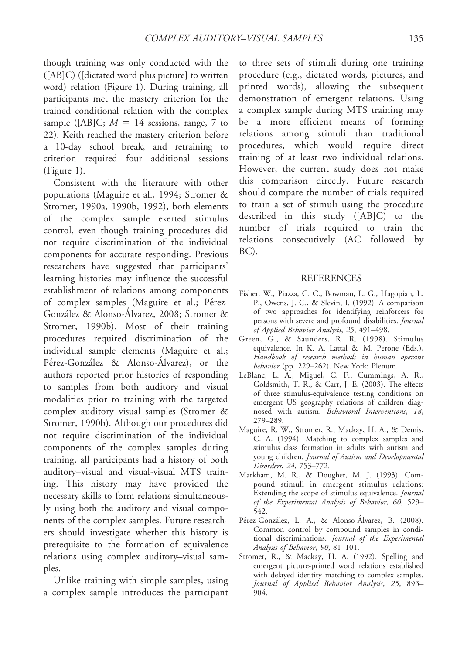though training was only conducted with the ([AB]C) ([dictated word plus picture] to written word) relation (Figure 1). During training, all participants met the mastery criterion for the trained conditional relation with the complex sample ([AB]C;  $M = 14$  sessions, range, 7 to 22). Keith reached the mastery criterion before a 10-day school break, and retraining to criterion required four additional sessions (Figure 1).

Consistent with the literature with other populations (Maguire et al., 1994; Stromer & Stromer, 1990a, 1990b, 1992), both elements of the complex sample exerted stimulus control, even though training procedures did not require discrimination of the individual components for accurate responding. Previous researchers have suggested that participants' learning histories may influence the successful establishment of relations among components of complex samples (Maguire et al.; Pérez-González & Alonso-Álvarez, 2008; Stromer & Stromer, 1990b). Most of their training procedures required discrimination of the individual sample elements (Maguire et al.; Pérez-González & Alonso-Álvarez), or the authors reported prior histories of responding to samples from both auditory and visual modalities prior to training with the targeted complex auditory–visual samples (Stromer & Stromer, 1990b). Although our procedures did not require discrimination of the individual components of the complex samples during training, all participants had a history of both auditory–visual and visual-visual MTS training. This history may have provided the necessary skills to form relations simultaneously using both the auditory and visual components of the complex samples. Future researchers should investigate whether this history is prerequisite to the formation of equivalence relations using complex auditory–visual samples.

Unlike training with simple samples, using a complex sample introduces the participant

to three sets of stimuli during one training procedure (e.g., dictated words, pictures, and printed words), allowing the subsequent demonstration of emergent relations. Using a complex sample during MTS training may be a more efficient means of forming relations among stimuli than traditional procedures, which would require direct training of at least two individual relations. However, the current study does not make this comparison directly. Future research should compare the number of trials required to train a set of stimuli using the procedure described in this study ([AB]C) to the number of trials required to train the relations consecutively (AC followed by BC).

### **REFERENCES**

- Fisher, W., Piazza, C. C., Bowman, L. G., Hagopian, L. P., Owens, J. C., & Slevin, I. (1992). A comparison of two approaches for identifying reinforcers for persons with severe and profound disabilities. Journal of Applied Behavior Analysis, 25, 491–498.
- Green, G., & Saunders, R. R. (1998). Stimulus equivalence. In K. A. Lattal & M. Perone (Eds.), Handbook of research methods in human operant behavior (pp. 229-262). New York: Plenum.
- LeBlanc, L. A., Miguel, C. F., Cummings, A. R., Goldsmith, T. R., & Carr, J. E. (2003). The effects of three stimulus-equivalence testing conditions on emergent US geography relations of children diagnosed with autism. Behavioral Interventions, 18, 279–289.
- Maguire, R. W., Stromer, R., Mackay, H. A., & Demis, C. A. (1994). Matching to complex samples and stimulus class formation in adults with autism and young children. Journal of Autism and Developmental Disorders, 24, 753–772.
- Markham, M. R., & Dougher, M. J. (1993). Compound stimuli in emergent stimulus relations: Extending the scope of stimulus equivalence. Journal of the Experimental Analysis of Behavior, 60, 529– 542.
- Pérez-González, L. A., & Alonso-Álvarez, B. (2008). Common control by compound samples in conditional discriminations. Journal of the Experimental Analysis of Behavior, 90, 81–101.
- Stromer, R., & Mackay, H. A. (1992). Spelling and emergent picture-printed word relations established with delayed identity matching to complex samples. Journal of Applied Behavior Analysis, 25, 893– 904.